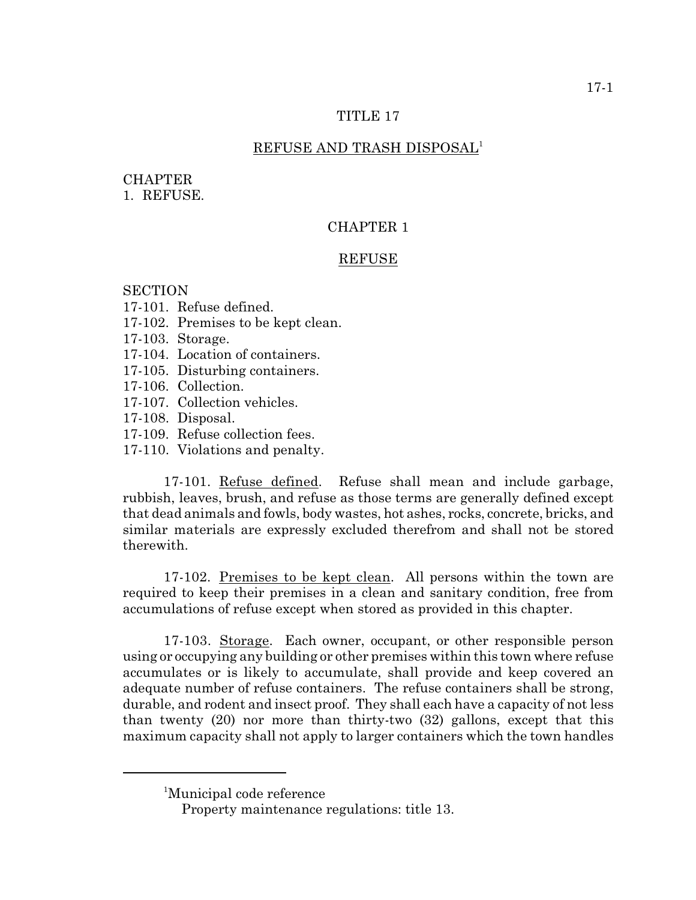### TITLE 17

# REFUSE AND TRASH DISPOSAL<sup>1</sup>

#### **CHAPTER**

1. REFUSE.

# CHAPTER 1

## REFUSE

# **SECTION**

- 17-101. Refuse defined.
- 17-102. Premises to be kept clean.
- 17-103. Storage.
- 17-104. Location of containers.
- 17-105. Disturbing containers.
- 17-106. Collection.
- 17-107. Collection vehicles.
- 17-108. Disposal.
- 17-109. Refuse collection fees.
- 17-110. Violations and penalty.

17-101. Refuse defined. Refuse shall mean and include garbage, rubbish, leaves, brush, and refuse as those terms are generally defined except that dead animals and fowls, body wastes, hot ashes, rocks, concrete, bricks, and similar materials are expressly excluded therefrom and shall not be stored therewith.

17-102. Premises to be kept clean. All persons within the town are required to keep their premises in a clean and sanitary condition, free from accumulations of refuse except when stored as provided in this chapter.

17-103. Storage. Each owner, occupant, or other responsible person using or occupying any building or other premises within this town where refuse accumulates or is likely to accumulate, shall provide and keep covered an adequate number of refuse containers. The refuse containers shall be strong, durable, and rodent and insect proof. They shall each have a capacity of not less than twenty (20) nor more than thirty-two (32) gallons, except that this maximum capacity shall not apply to larger containers which the town handles

<sup>&</sup>lt;sup>1</sup>Municipal code reference

Property maintenance regulations: title 13.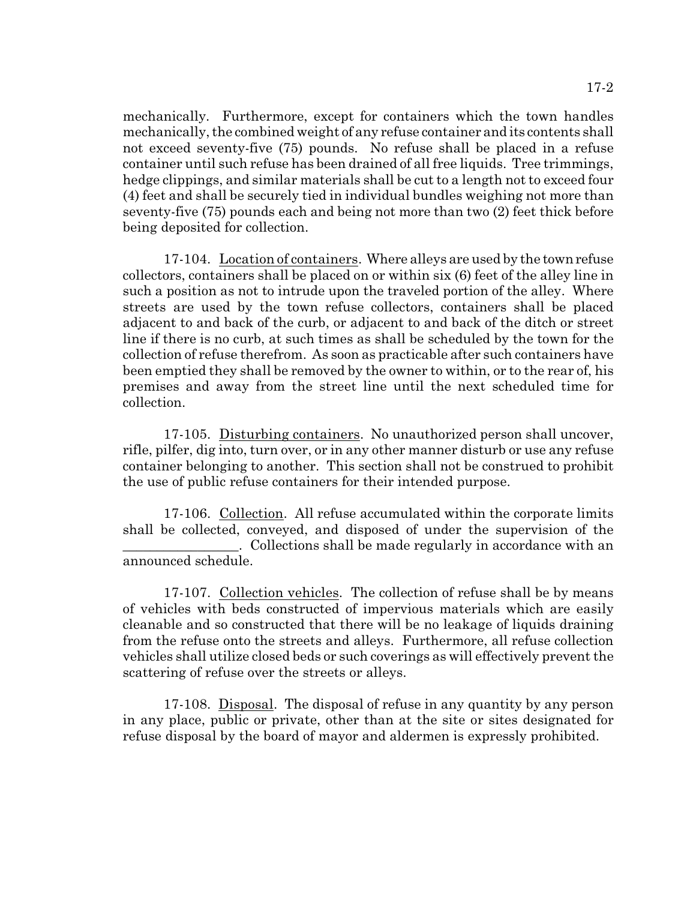mechanically. Furthermore, except for containers which the town handles mechanically, the combined weight of any refuse container and its contents shall

not exceed seventy-five (75) pounds. No refuse shall be placed in a refuse container until such refuse has been drained of all free liquids. Tree trimmings, hedge clippings, and similar materials shall be cut to a length not to exceed four (4) feet and shall be securely tied in individual bundles weighing not more than seventy-five (75) pounds each and being not more than two (2) feet thick before being deposited for collection.

17-104. Location of containers. Where alleys are used by the town refuse collectors, containers shall be placed on or within six (6) feet of the alley line in such a position as not to intrude upon the traveled portion of the alley. Where streets are used by the town refuse collectors, containers shall be placed adjacent to and back of the curb, or adjacent to and back of the ditch or street line if there is no curb, at such times as shall be scheduled by the town for the collection of refuse therefrom. As soon as practicable after such containers have been emptied they shall be removed by the owner to within, or to the rear of, his premises and away from the street line until the next scheduled time for collection.

17-105. Disturbing containers. No unauthorized person shall uncover, rifle, pilfer, dig into, turn over, or in any other manner disturb or use any refuse container belonging to another. This section shall not be construed to prohibit the use of public refuse containers for their intended purpose.

17-106. Collection. All refuse accumulated within the corporate limits shall be collected, conveyed, and disposed of under the supervision of the . Collections shall be made regularly in accordance with an announced schedule.

17-107. Collection vehicles. The collection of refuse shall be by means of vehicles with beds constructed of impervious materials which are easily cleanable and so constructed that there will be no leakage of liquids draining from the refuse onto the streets and alleys. Furthermore, all refuse collection vehicles shall utilize closed beds or such coverings as will effectively prevent the scattering of refuse over the streets or alleys.

17-108. Disposal. The disposal of refuse in any quantity by any person in any place, public or private, other than at the site or sites designated for refuse disposal by the board of mayor and aldermen is expressly prohibited.